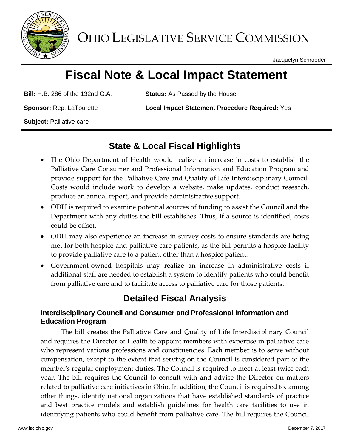

OHIO LEGISLATIVE SERVICE COMMISSION

Jacquelyn Schroeder

# **Fiscal Note & Local Impact Statement**

**Bill:** H.B. 286 of the 132nd G.A. **Status:** As Passed by the House

**Sponsor:** Rep. LaTourette **Local Impact Statement Procedure Required:** Yes

**Subject:** Palliative care

### **State & Local Fiscal Highlights**

- The Ohio Department of Health would realize an increase in costs to establish the Palliative Care Consumer and Professional Information and Education Program and provide support for the Palliative Care and Quality of Life Interdisciplinary Council. Costs would include work to develop a website, make updates, conduct research, produce an annual report, and provide administrative support.
- ODH is required to examine potential sources of funding to assist the Council and the Department with any duties the bill establishes. Thus, if a source is identified, costs could be offset.
- ODH may also experience an increase in survey costs to ensure standards are being met for both hospice and palliative care patients, as the bill permits a hospice facility to provide palliative care to a patient other than a hospice patient.
- Government-owned hospitals may realize an increase in administrative costs if additional staff are needed to establish a system to identify patients who could benefit from palliative care and to facilitate access to palliative care for those patients.

## **Detailed Fiscal Analysis**

#### **Interdisciplinary Council and Consumer and Professional Information and Education Program**

The bill creates the Palliative Care and Quality of Life Interdisciplinary Council and requires the Director of Health to appoint members with expertise in palliative care who represent various professions and constituencies. Each member is to serve without compensation, except to the extent that serving on the Council is considered part of the member's regular employment duties. The Council is required to meet at least twice each year. The bill requires the Council to consult with and advise the Director on matters related to palliative care initiatives in Ohio. In addition, the Council is required to, among other things, identify national organizations that have established standards of practice and best practice models and establish guidelines for health care facilities to use in identifying patients who could benefit from palliative care. The bill requires the Council